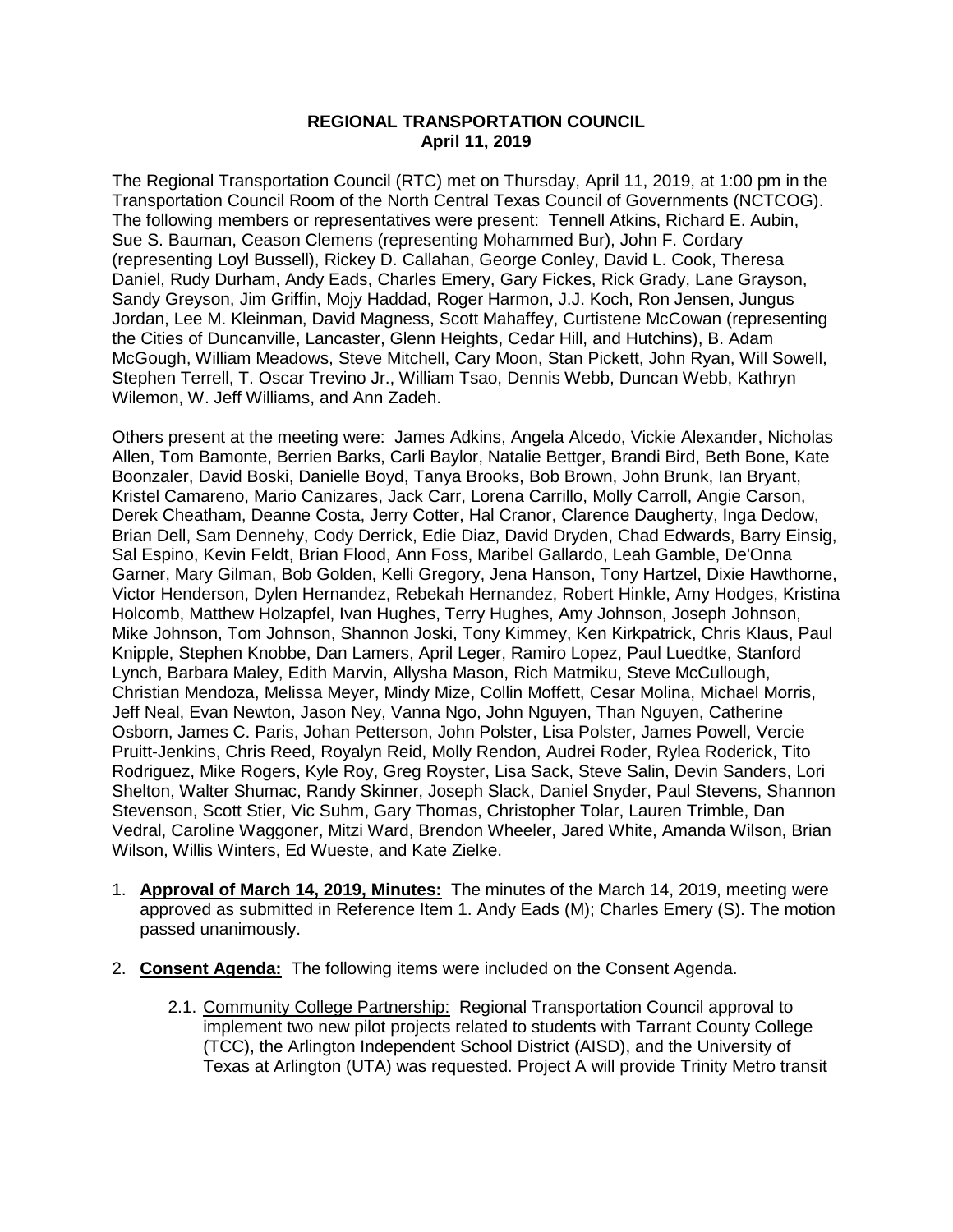## **REGIONAL TRANSPORTATION COUNCIL April 11, 2019**

The Regional Transportation Council (RTC) met on Thursday, April 11, 2019, at 1:00 pm in the Transportation Council Room of the North Central Texas Council of Governments (NCTCOG). The following members or representatives were present: Tennell Atkins, Richard E. Aubin, Sue S. Bauman, Ceason Clemens (representing Mohammed Bur), John F. Cordary (representing Loyl Bussell), Rickey D. Callahan, George Conley, David L. Cook, Theresa Daniel, Rudy Durham, Andy Eads, Charles Emery, Gary Fickes, Rick Grady, Lane Grayson, Sandy Greyson, Jim Griffin, Mojy Haddad, Roger Harmon, J.J. Koch, Ron Jensen, Jungus Jordan, Lee M. Kleinman, David Magness, Scott Mahaffey, Curtistene McCowan (representing the Cities of Duncanville, Lancaster, Glenn Heights, Cedar Hill, and Hutchins), B. Adam McGough, William Meadows, Steve Mitchell, Cary Moon, Stan Pickett, John Ryan, Will Sowell, Stephen Terrell, T. Oscar Trevino Jr., William Tsao, Dennis Webb, Duncan Webb, Kathryn Wilemon, W. Jeff Williams, and Ann Zadeh.

Others present at the meeting were: James Adkins, Angela Alcedo, Vickie Alexander, Nicholas Allen, Tom Bamonte, Berrien Barks, Carli Baylor, Natalie Bettger, Brandi Bird, Beth Bone, Kate Boonzaler, David Boski, Danielle Boyd, Tanya Brooks, Bob Brown, John Brunk, Ian Bryant, Kristel Camareno, Mario Canizares, Jack Carr, Lorena Carrillo, Molly Carroll, Angie Carson, Derek Cheatham, Deanne Costa, Jerry Cotter, Hal Cranor, Clarence Daugherty, Inga Dedow, Brian Dell, Sam Dennehy, Cody Derrick, Edie Diaz, David Dryden, Chad Edwards, Barry Einsig, Sal Espino, Kevin Feldt, Brian Flood, Ann Foss, Maribel Gallardo, Leah Gamble, De'Onna Garner, Mary Gilman, Bob Golden, Kelli Gregory, Jena Hanson, Tony Hartzel, Dixie Hawthorne, Victor Henderson, Dylen Hernandez, Rebekah Hernandez, Robert Hinkle, Amy Hodges, Kristina Holcomb, Matthew Holzapfel, Ivan Hughes, Terry Hughes, Amy Johnson, Joseph Johnson, Mike Johnson, Tom Johnson, Shannon Joski, Tony Kimmey, Ken Kirkpatrick, Chris Klaus, Paul Knipple, Stephen Knobbe, Dan Lamers, April Leger, Ramiro Lopez, Paul Luedtke, Stanford Lynch, Barbara Maley, Edith Marvin, Allysha Mason, Rich Matmiku, Steve McCullough, Christian Mendoza, Melissa Meyer, Mindy Mize, Collin Moffett, Cesar Molina, Michael Morris, Jeff Neal, Evan Newton, Jason Ney, Vanna Ngo, John Nguyen, Than Nguyen, Catherine Osborn, James C. Paris, Johan Petterson, John Polster, Lisa Polster, James Powell, Vercie Pruitt-Jenkins, Chris Reed, Royalyn Reid, Molly Rendon, Audrei Roder, Rylea Roderick, Tito Rodriguez, Mike Rogers, Kyle Roy, Greg Royster, Lisa Sack, Steve Salin, Devin Sanders, Lori Shelton, Walter Shumac, Randy Skinner, Joseph Slack, Daniel Snyder, Paul Stevens, Shannon Stevenson, Scott Stier, Vic Suhm, Gary Thomas, Christopher Tolar, Lauren Trimble, Dan Vedral, Caroline Waggoner, Mitzi Ward, Brendon Wheeler, Jared White, Amanda Wilson, Brian Wilson, Willis Winters, Ed Wueste, and Kate Zielke.

- 1. **Approval of March 14, 2019, Minutes:** The minutes of the March 14, 2019, meeting were approved as submitted in Reference Item 1. Andy Eads (M); Charles Emery (S). The motion passed unanimously.
- 2. **Consent Agenda:** The following items were included on the Consent Agenda.
	- 2.1. Community College Partnership: Regional Transportation Council approval to implement two new pilot projects related to students with Tarrant County College (TCC), the Arlington Independent School District (AISD), and the University of Texas at Arlington (UTA) was requested. Project A will provide Trinity Metro transit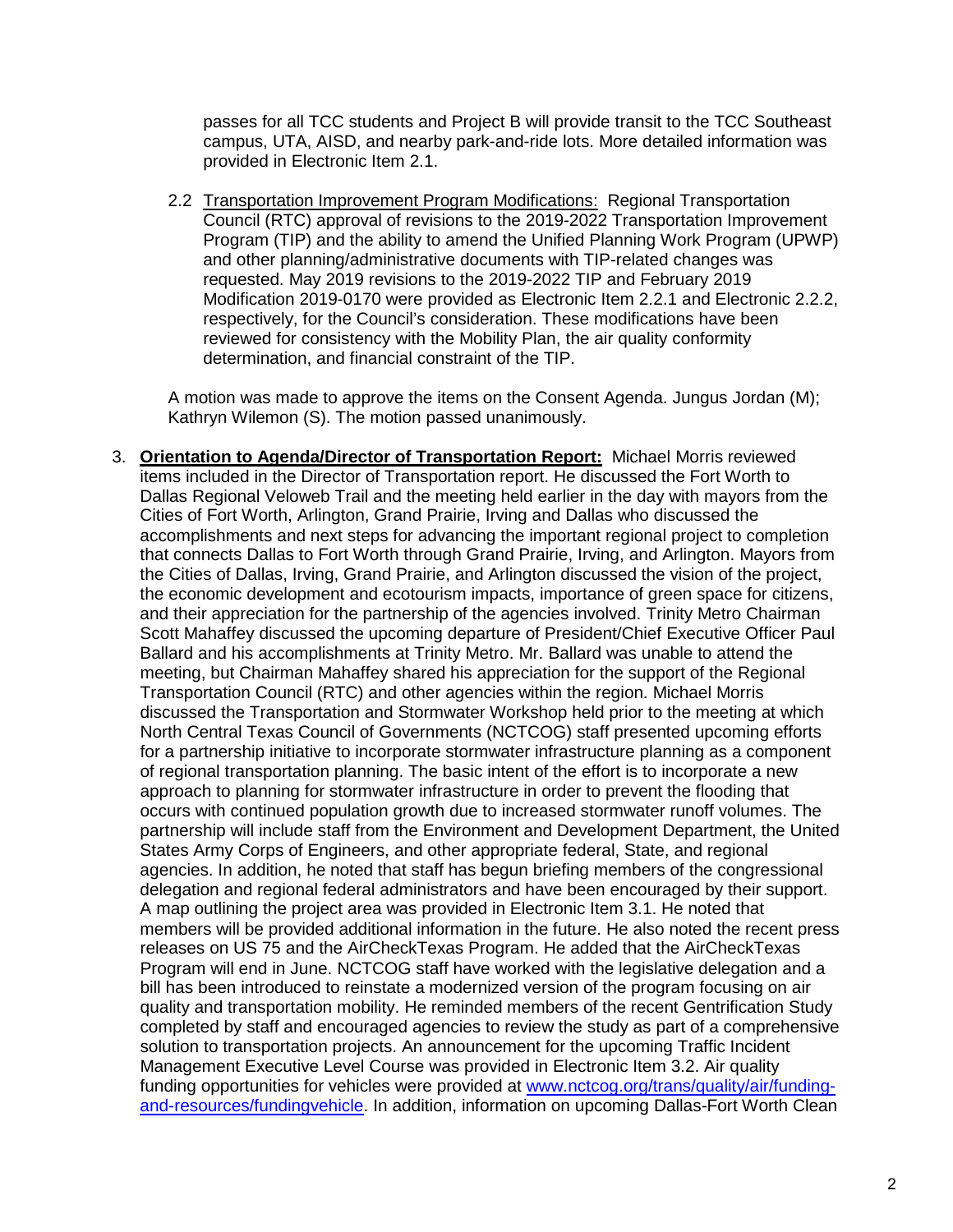passes for all TCC students and Project B will provide transit to the TCC Southeast campus, UTA, AISD, and nearby park-and-ride lots. More detailed information was provided in Electronic Item 2.1.

2.2 Transportation Improvement Program Modifications: Regional Transportation Council (RTC) approval of revisions to the 2019-2022 Transportation Improvement Program (TIP) and the ability to amend the Unified Planning Work Program (UPWP) and other planning/administrative documents with TIP-related changes was requested. May 2019 revisions to the 2019-2022 TIP and February 2019 Modification 2019-0170 were provided as Electronic Item 2.2.1 and Electronic 2.2.2, respectively, for the Council's consideration. These modifications have been reviewed for consistency with the Mobility Plan, the air quality conformity determination, and financial constraint of the TIP.

A motion was made to approve the items on the Consent Agenda. Jungus Jordan (M); Kathryn Wilemon (S). The motion passed unanimously.

3. **Orientation to Agenda/Director of Transportation Report:** Michael Morris reviewed items included in the Director of Transportation report. He discussed the Fort Worth to Dallas Regional Veloweb Trail and the meeting held earlier in the day with mayors from the Cities of Fort Worth, Arlington, Grand Prairie, Irving and Dallas who discussed the accomplishments and next steps for advancing the important regional project to completion that connects Dallas to Fort Worth through Grand Prairie, Irving, and Arlington. Mayors from the Cities of Dallas, Irving, Grand Prairie, and Arlington discussed the vision of the project, the economic development and ecotourism impacts, importance of green space for citizens, and their appreciation for the partnership of the agencies involved. Trinity Metro Chairman Scott Mahaffey discussed the upcoming departure of President/Chief Executive Officer Paul Ballard and his accomplishments at Trinity Metro. Mr. Ballard was unable to attend the meeting, but Chairman Mahaffey shared his appreciation for the support of the Regional Transportation Council (RTC) and other agencies within the region. Michael Morris discussed the Transportation and Stormwater Workshop held prior to the meeting at which North Central Texas Council of Governments (NCTCOG) staff presented upcoming efforts for a partnership initiative to incorporate stormwater infrastructure planning as a component of regional transportation planning. The basic intent of the effort is to incorporate a new approach to planning for stormwater infrastructure in order to prevent the flooding that occurs with continued population growth due to increased stormwater runoff volumes. The partnership will include staff from the Environment and Development Department, the United States Army Corps of Engineers, and other appropriate federal, State, and regional agencies. In addition, he noted that staff has begun briefing members of the congressional delegation and regional federal administrators and have been encouraged by their support. A map outlining the project area was provided in Electronic Item 3.1. He noted that members will be provided additional information in the future. He also noted the recent press releases on US 75 and the AirCheckTexas Program. He added that the AirCheckTexas Program will end in June. NCTCOG staff have worked with the legislative delegation and a bill has been introduced to reinstate a modernized version of the program focusing on air quality and transportation mobility. He reminded members of the recent Gentrification Study completed by staff and encouraged agencies to review the study as part of a comprehensive solution to transportation projects. An announcement for the upcoming Traffic Incident Management Executive Level Course was provided in Electronic Item 3.2. Air quality funding opportunities for vehicles were provided at [www.nctcog.org/trans/quality/air/funding](http://www.nctcog.org/trans/quality/air/funding-and-resources/fundingvehicle)[and-resources/fundingvehicle.](http://www.nctcog.org/trans/quality/air/funding-and-resources/fundingvehicle) In addition, information on upcoming Dallas-Fort Worth Clean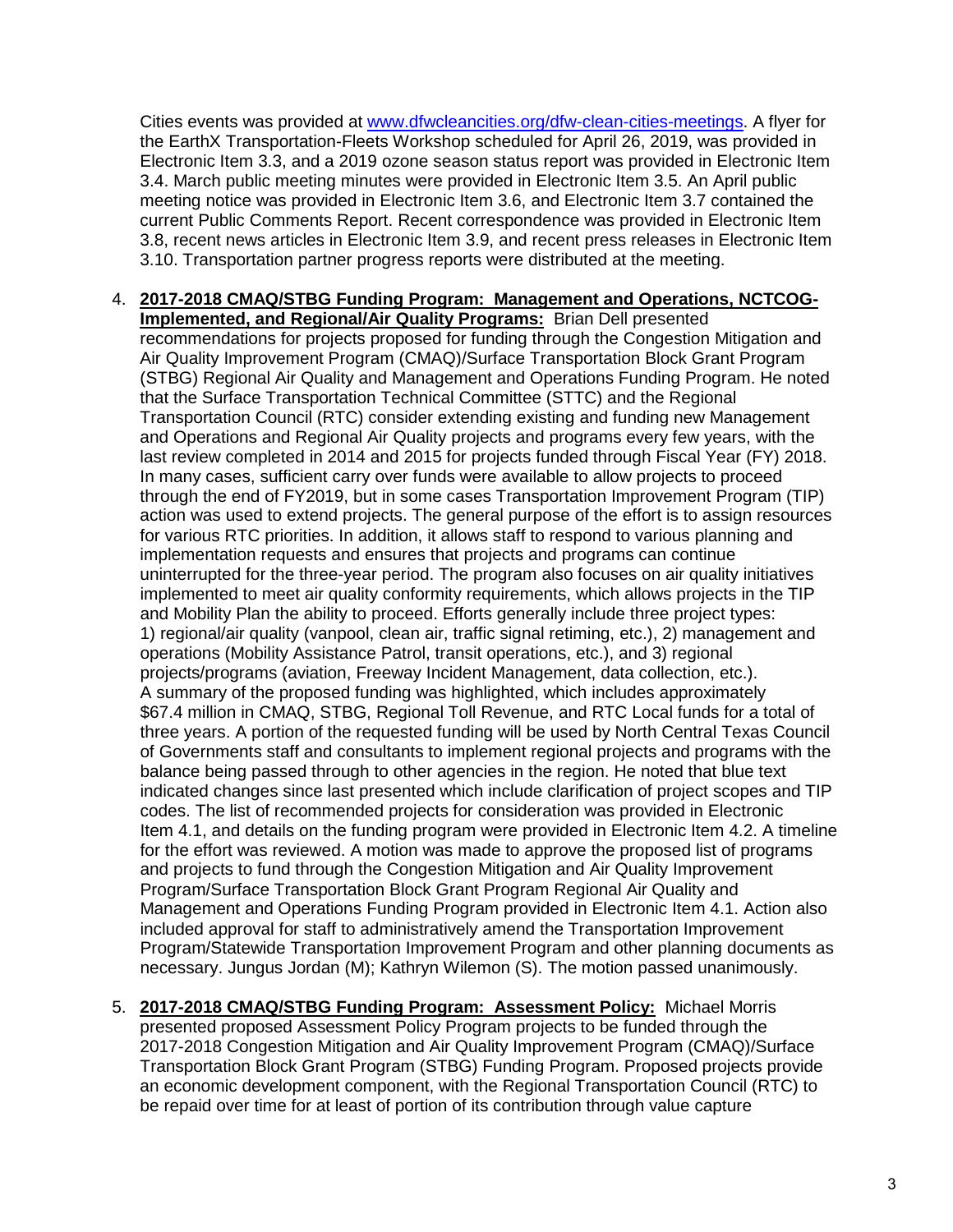Cities events was provided at [www.dfwcleancities.org/dfw-clean-cities-meetings.](http://www.dfwcleancities.org/dfw-clean-cities-meetings) A flyer for the EarthX Transportation-Fleets Workshop scheduled for April 26, 2019, was provided in Electronic Item 3.3, and a 2019 ozone season status report was provided in Electronic Item 3.4. March public meeting minutes were provided in Electronic Item 3.5. An April public meeting notice was provided in Electronic Item 3.6, and Electronic Item 3.7 contained the current Public Comments Report. Recent correspondence was provided in Electronic Item 3.8, recent news articles in Electronic Item 3.9, and recent press releases in Electronic Item 3.10. Transportation partner progress reports were distributed at the meeting.

- 4. **2017-2018 CMAQ/STBG Funding Program: Management and Operations, NCTCOG-Implemented, and Regional/Air Quality Programs:** Brian Dell presented recommendations for projects proposed for funding through the Congestion Mitigation and Air Quality Improvement Program (CMAQ)/Surface Transportation Block Grant Program (STBG) Regional Air Quality and Management and Operations Funding Program. He noted that the Surface Transportation Technical Committee (STTC) and the Regional Transportation Council (RTC) consider extending existing and funding new Management and Operations and Regional Air Quality projects and programs every few years, with the last review completed in 2014 and 2015 for projects funded through Fiscal Year (FY) 2018. In many cases, sufficient carry over funds were available to allow projects to proceed through the end of FY2019, but in some cases Transportation Improvement Program (TIP) action was used to extend projects. The general purpose of the effort is to assign resources for various RTC priorities. In addition, it allows staff to respond to various planning and implementation requests and ensures that projects and programs can continue uninterrupted for the three-year period. The program also focuses on air quality initiatives implemented to meet air quality conformity requirements, which allows projects in the TIP and Mobility Plan the ability to proceed. Efforts generally include three project types: 1) regional/air quality (vanpool, clean air, traffic signal retiming, etc.), 2) management and operations (Mobility Assistance Patrol, transit operations, etc.), and 3) regional projects/programs (aviation, Freeway Incident Management, data collection, etc.). A summary of the proposed funding was highlighted, which includes approximately \$67.4 million in CMAQ, STBG, Regional Toll Revenue, and RTC Local funds for a total of three years. A portion of the requested funding will be used by North Central Texas Council of Governments staff and consultants to implement regional projects and programs with the balance being passed through to other agencies in the region. He noted that blue text indicated changes since last presented which include clarification of project scopes and TIP codes. The list of recommended projects for consideration was provided in Electronic Item 4.1, and details on the funding program were provided in Electronic Item 4.2. A timeline for the effort was reviewed. A motion was made to approve the proposed list of programs and projects to fund through the Congestion Mitigation and Air Quality Improvement Program/Surface Transportation Block Grant Program Regional Air Quality and Management and Operations Funding Program provided in Electronic Item 4.1. Action also included approval for staff to administratively amend the Transportation Improvement Program/Statewide Transportation Improvement Program and other planning documents as necessary. Jungus Jordan (M); Kathryn Wilemon (S). The motion passed unanimously.
- 5. **2017-2018 CMAQ/STBG Funding Program: Assessment Policy:** Michael Morris presented proposed Assessment Policy Program projects to be funded through the 2017-2018 Congestion Mitigation and Air Quality Improvement Program (CMAQ)/Surface Transportation Block Grant Program (STBG) Funding Program. Proposed projects provide an economic development component, with the Regional Transportation Council (RTC) to be repaid over time for at least of portion of its contribution through value capture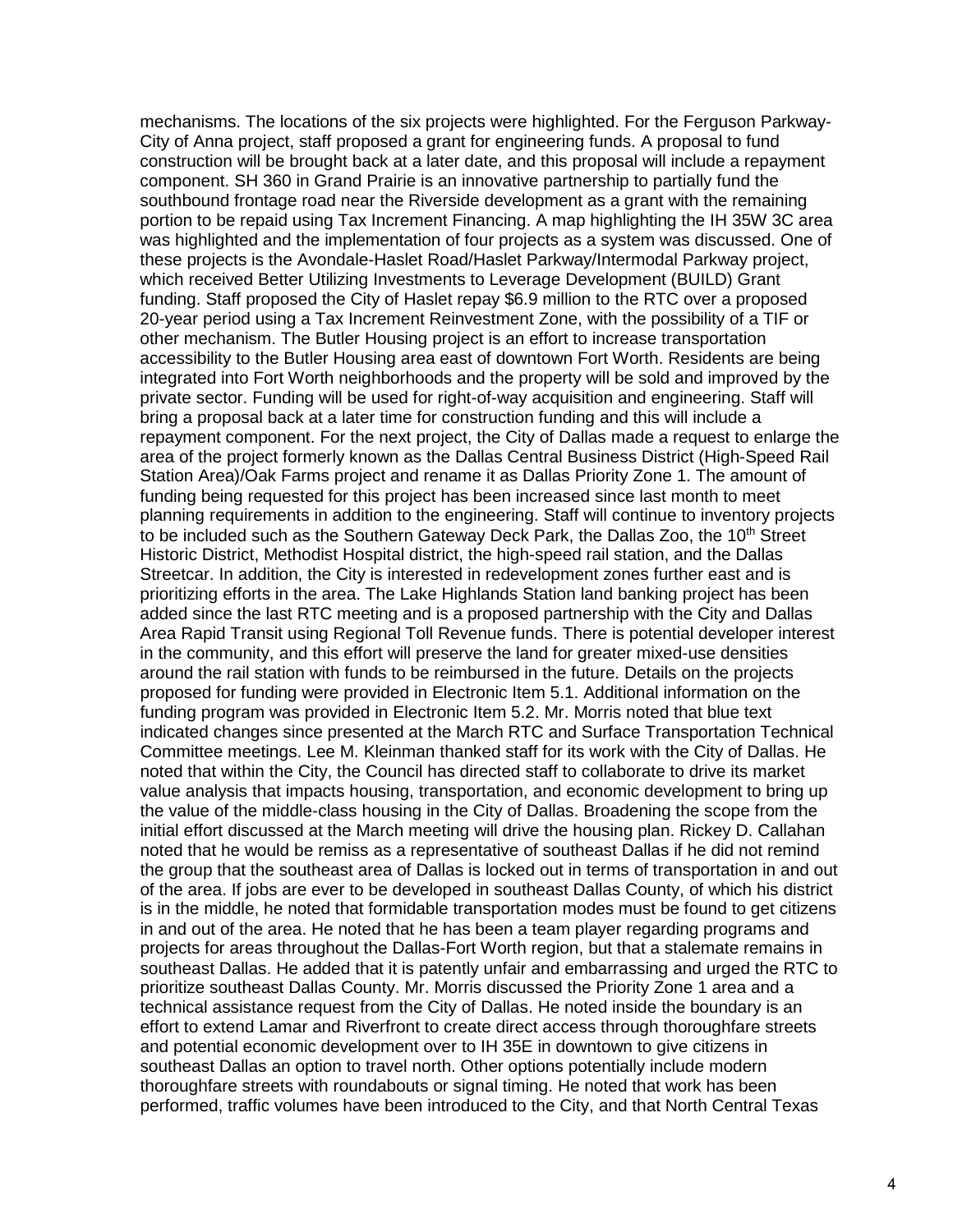mechanisms. The locations of the six projects were highlighted. For the Ferguson Parkway-City of Anna project, staff proposed a grant for engineering funds. A proposal to fund construction will be brought back at a later date, and this proposal will include a repayment component. SH 360 in Grand Prairie is an innovative partnership to partially fund the southbound frontage road near the Riverside development as a grant with the remaining portion to be repaid using Tax Increment Financing. A map highlighting the IH 35W 3C area was highlighted and the implementation of four projects as a system was discussed. One of these projects is the Avondale-Haslet Road/Haslet Parkway/Intermodal Parkway project, which received Better Utilizing Investments to Leverage Development (BUILD) Grant funding. Staff proposed the City of Haslet repay \$6.9 million to the RTC over a proposed 20-year period using a Tax Increment Reinvestment Zone, with the possibility of a TIF or other mechanism. The Butler Housing project is an effort to increase transportation accessibility to the Butler Housing area east of downtown Fort Worth. Residents are being integrated into Fort Worth neighborhoods and the property will be sold and improved by the private sector. Funding will be used for right-of-way acquisition and engineering. Staff will bring a proposal back at a later time for construction funding and this will include a repayment component. For the next project, the City of Dallas made a request to enlarge the area of the project formerly known as the Dallas Central Business District (High-Speed Rail Station Area)/Oak Farms project and rename it as Dallas Priority Zone 1. The amount of funding being requested for this project has been increased since last month to meet planning requirements in addition to the engineering. Staff will continue to inventory projects to be included such as the Southern Gateway Deck Park, the Dallas Zoo, the  $10<sup>th</sup>$  Street Historic District, Methodist Hospital district, the high-speed rail station, and the Dallas Streetcar. In addition, the City is interested in redevelopment zones further east and is prioritizing efforts in the area. The Lake Highlands Station land banking project has been added since the last RTC meeting and is a proposed partnership with the City and Dallas Area Rapid Transit using Regional Toll Revenue funds. There is potential developer interest in the community, and this effort will preserve the land for greater mixed-use densities around the rail station with funds to be reimbursed in the future. Details on the projects proposed for funding were provided in Electronic Item 5.1. Additional information on the funding program was provided in Electronic Item 5.2. Mr. Morris noted that blue text indicated changes since presented at the March RTC and Surface Transportation Technical Committee meetings. Lee M. Kleinman thanked staff for its work with the City of Dallas. He noted that within the City, the Council has directed staff to collaborate to drive its market value analysis that impacts housing, transportation, and economic development to bring up the value of the middle-class housing in the City of Dallas. Broadening the scope from the initial effort discussed at the March meeting will drive the housing plan. Rickey D. Callahan noted that he would be remiss as a representative of southeast Dallas if he did not remind the group that the southeast area of Dallas is locked out in terms of transportation in and out of the area. If jobs are ever to be developed in southeast Dallas County, of which his district is in the middle, he noted that formidable transportation modes must be found to get citizens in and out of the area. He noted that he has been a team player regarding programs and projects for areas throughout the Dallas-Fort Worth region, but that a stalemate remains in southeast Dallas. He added that it is patently unfair and embarrassing and urged the RTC to prioritize southeast Dallas County. Mr. Morris discussed the Priority Zone 1 area and a technical assistance request from the City of Dallas. He noted inside the boundary is an effort to extend Lamar and Riverfront to create direct access through thoroughfare streets and potential economic development over to IH 35E in downtown to give citizens in southeast Dallas an option to travel north. Other options potentially include modern thoroughfare streets with roundabouts or signal timing. He noted that work has been performed, traffic volumes have been introduced to the City, and that North Central Texas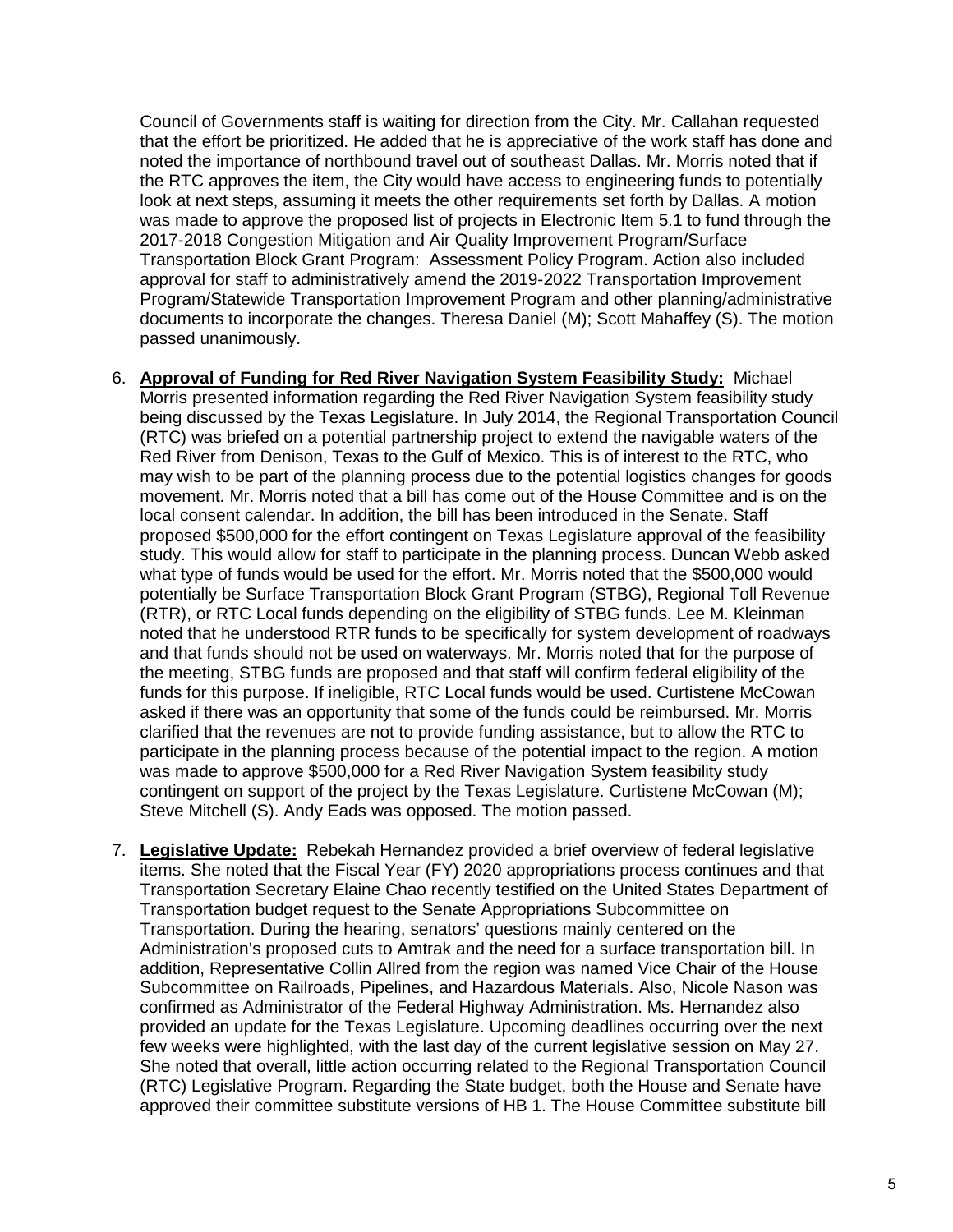Council of Governments staff is waiting for direction from the City. Mr. Callahan requested that the effort be prioritized. He added that he is appreciative of the work staff has done and noted the importance of northbound travel out of southeast Dallas. Mr. Morris noted that if the RTC approves the item, the City would have access to engineering funds to potentially look at next steps, assuming it meets the other requirements set forth by Dallas. A motion was made to approve the proposed list of projects in Electronic Item 5.1 to fund through the 2017-2018 Congestion Mitigation and Air Quality Improvement Program/Surface Transportation Block Grant Program: Assessment Policy Program. Action also included approval for staff to administratively amend the 2019-2022 Transportation Improvement Program/Statewide Transportation Improvement Program and other planning/administrative documents to incorporate the changes. Theresa Daniel (M); Scott Mahaffey (S). The motion passed unanimously.

- 6. **Approval of Funding for Red River Navigation System Feasibility Study:** Michael Morris presented information regarding the Red River Navigation System feasibility study being discussed by the Texas Legislature. In July 2014, the Regional Transportation Council (RTC) was briefed on a potential partnership project to extend the navigable waters of the Red River from Denison, Texas to the Gulf of Mexico. This is of interest to the RTC, who may wish to be part of the planning process due to the potential logistics changes for goods movement. Mr. Morris noted that a bill has come out of the House Committee and is on the local consent calendar. In addition, the bill has been introduced in the Senate. Staff proposed \$500,000 for the effort contingent on Texas Legislature approval of the feasibility study. This would allow for staff to participate in the planning process. Duncan Webb asked what type of funds would be used for the effort. Mr. Morris noted that the \$500,000 would potentially be Surface Transportation Block Grant Program (STBG), Regional Toll Revenue (RTR), or RTC Local funds depending on the eligibility of STBG funds. Lee M. Kleinman noted that he understood RTR funds to be specifically for system development of roadways and that funds should not be used on waterways. Mr. Morris noted that for the purpose of the meeting, STBG funds are proposed and that staff will confirm federal eligibility of the funds for this purpose. If ineligible, RTC Local funds would be used. Curtistene McCowan asked if there was an opportunity that some of the funds could be reimbursed. Mr. Morris clarified that the revenues are not to provide funding assistance, but to allow the RTC to participate in the planning process because of the potential impact to the region. A motion was made to approve \$500,000 for a Red River Navigation System feasibility study contingent on support of the project by the Texas Legislature. Curtistene McCowan (M); Steve Mitchell (S). Andy Eads was opposed. The motion passed.
- 7. **Legislative Update:** Rebekah Hernandez provided a brief overview of federal legislative items. She noted that the Fiscal Year (FY) 2020 appropriations process continues and that Transportation Secretary Elaine Chao recently testified on the United States Department of Transportation budget request to the Senate Appropriations Subcommittee on Transportation. During the hearing, senators' questions mainly centered on the Administration's proposed cuts to Amtrak and the need for a surface transportation bill. In addition, Representative Collin Allred from the region was named Vice Chair of the House Subcommittee on Railroads, Pipelines, and Hazardous Materials. Also, Nicole Nason was confirmed as Administrator of the Federal Highway Administration. Ms. Hernandez also provided an update for the Texas Legislature. Upcoming deadlines occurring over the next few weeks were highlighted, with the last day of the current legislative session on May 27. She noted that overall, little action occurring related to the Regional Transportation Council (RTC) Legislative Program. Regarding the State budget, both the House and Senate have approved their committee substitute versions of HB 1. The House Committee substitute bill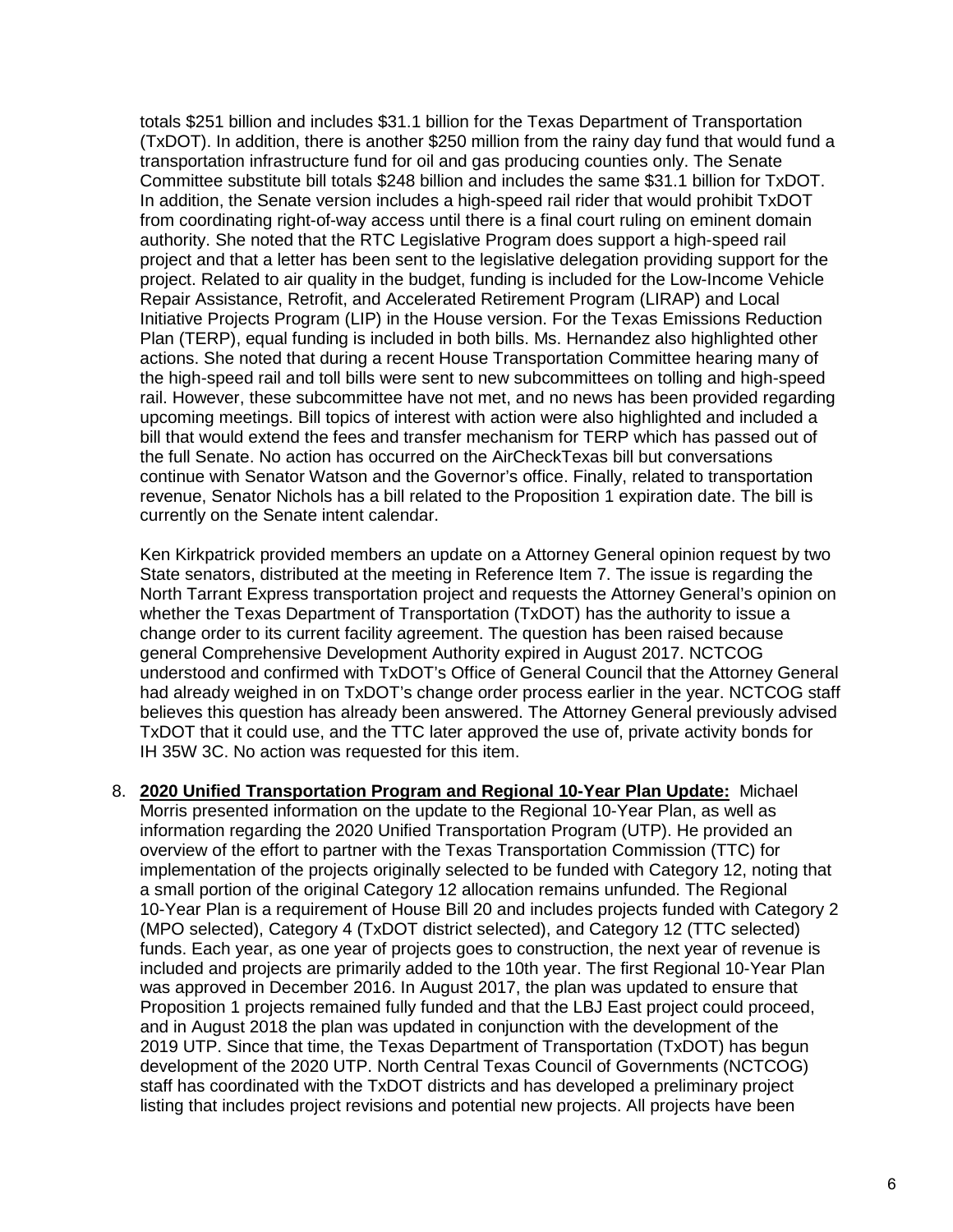totals \$251 billion and includes \$31.1 billion for the Texas Department of Transportation (TxDOT). In addition, there is another \$250 million from the rainy day fund that would fund a transportation infrastructure fund for oil and gas producing counties only. The Senate Committee substitute bill totals \$248 billion and includes the same \$31.1 billion for TxDOT. In addition, the Senate version includes a high-speed rail rider that would prohibit TxDOT from coordinating right-of-way access until there is a final court ruling on eminent domain authority. She noted that the RTC Legislative Program does support a high-speed rail project and that a letter has been sent to the legislative delegation providing support for the project. Related to air quality in the budget, funding is included for the Low-Income Vehicle Repair Assistance, Retrofit, and Accelerated Retirement Program (LIRAP) and Local Initiative Projects Program (LIP) in the House version. For the Texas Emissions Reduction Plan (TERP), equal funding is included in both bills. Ms. Hernandez also highlighted other actions. She noted that during a recent House Transportation Committee hearing many of the high-speed rail and toll bills were sent to new subcommittees on tolling and high-speed rail. However, these subcommittee have not met, and no news has been provided regarding upcoming meetings. Bill topics of interest with action were also highlighted and included a bill that would extend the fees and transfer mechanism for TERP which has passed out of the full Senate. No action has occurred on the AirCheckTexas bill but conversations continue with Senator Watson and the Governor's office. Finally, related to transportation revenue, Senator Nichols has a bill related to the Proposition 1 expiration date. The bill is currently on the Senate intent calendar.

Ken Kirkpatrick provided members an update on a Attorney General opinion request by two State senators, distributed at the meeting in Reference Item 7. The issue is regarding the North Tarrant Express transportation project and requests the Attorney General's opinion on whether the Texas Department of Transportation (TxDOT) has the authority to issue a change order to its current facility agreement. The question has been raised because general Comprehensive Development Authority expired in August 2017. NCTCOG understood and confirmed with TxDOT's Office of General Council that the Attorney General had already weighed in on TxDOT's change order process earlier in the year. NCTCOG staff believes this question has already been answered. The Attorney General previously advised TxDOT that it could use, and the TTC later approved the use of, private activity bonds for IH 35W 3C. No action was requested for this item.

8. **2020 Unified Transportation Program and Regional 10-Year Plan Update:** Michael Morris presented information on the update to the Regional 10-Year Plan, as well as information regarding the 2020 Unified Transportation Program (UTP). He provided an overview of the effort to partner with the Texas Transportation Commission (TTC) for implementation of the projects originally selected to be funded with Category 12, noting that a small portion of the original Category 12 allocation remains unfunded. The Regional 10-Year Plan is a requirement of House Bill 20 and includes projects funded with Category 2 (MPO selected), Category 4 (TxDOT district selected), and Category 12 (TTC selected) funds. Each year, as one year of projects goes to construction, the next year of revenue is included and projects are primarily added to the 10th year. The first Regional 10-Year Plan was approved in December 2016. In August 2017, the plan was updated to ensure that Proposition 1 projects remained fully funded and that the LBJ East project could proceed, and in August 2018 the plan was updated in conjunction with the development of the 2019 UTP. Since that time, the Texas Department of Transportation (TxDOT) has begun development of the 2020 UTP. North Central Texas Council of Governments (NCTCOG) staff has coordinated with the TxDOT districts and has developed a preliminary project listing that includes project revisions and potential new projects. All projects have been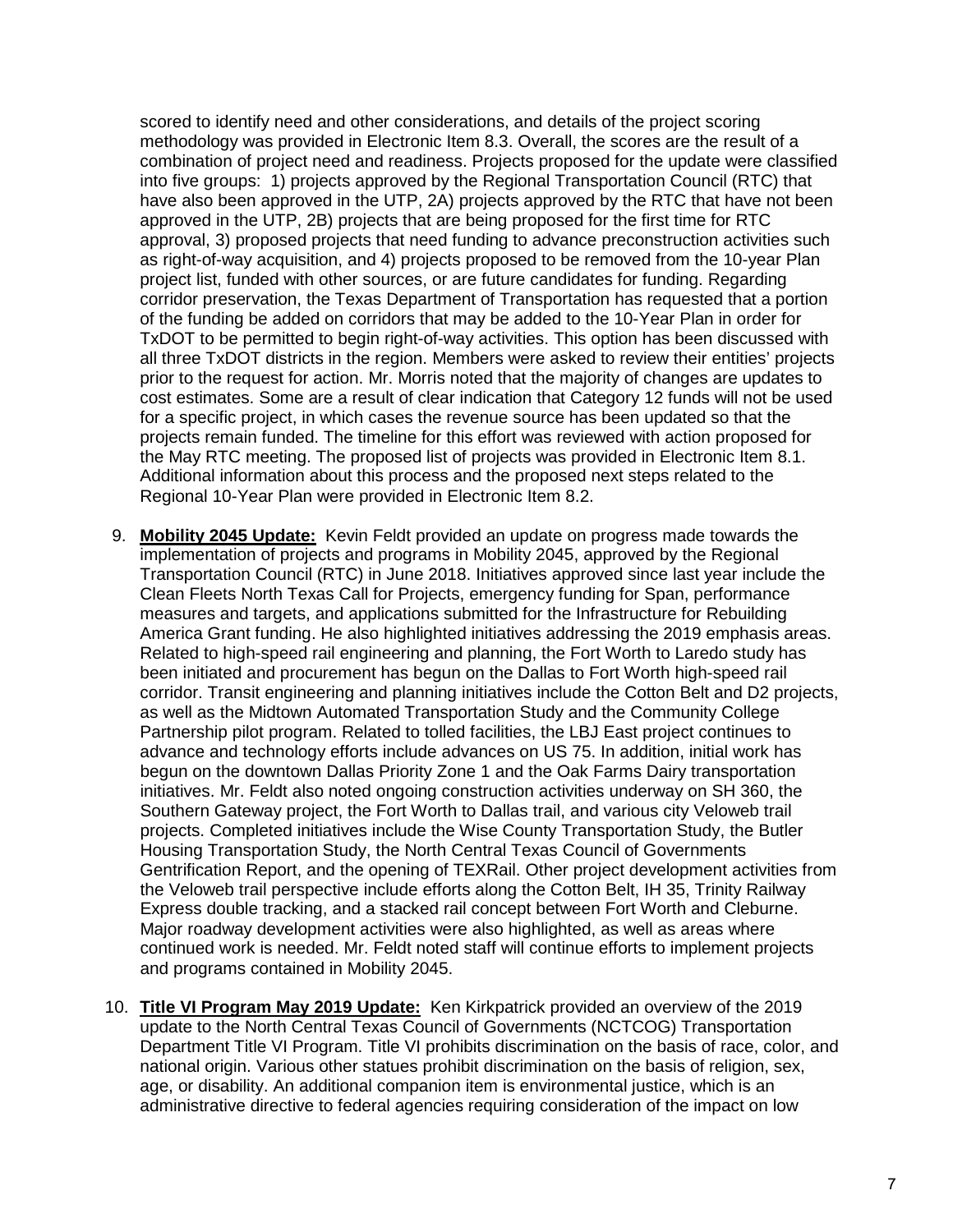scored to identify need and other considerations, and details of the project scoring methodology was provided in Electronic Item 8.3. Overall, the scores are the result of a combination of project need and readiness. Projects proposed for the update were classified into five groups: 1) projects approved by the Regional Transportation Council (RTC) that have also been approved in the UTP, 2A) projects approved by the RTC that have not been approved in the UTP, 2B) projects that are being proposed for the first time for RTC approval, 3) proposed projects that need funding to advance preconstruction activities such as right-of-way acquisition, and 4) projects proposed to be removed from the 10-year Plan project list, funded with other sources, or are future candidates for funding. Regarding corridor preservation, the Texas Department of Transportation has requested that a portion of the funding be added on corridors that may be added to the 10-Year Plan in order for TxDOT to be permitted to begin right-of-way activities. This option has been discussed with all three TxDOT districts in the region. Members were asked to review their entities' projects prior to the request for action. Mr. Morris noted that the majority of changes are updates to cost estimates. Some are a result of clear indication that Category 12 funds will not be used for a specific project, in which cases the revenue source has been updated so that the projects remain funded. The timeline for this effort was reviewed with action proposed for the May RTC meeting. The proposed list of projects was provided in Electronic Item 8.1. Additional information about this process and the proposed next steps related to the Regional 10-Year Plan were provided in Electronic Item 8.2.

- 9. **Mobility 2045 Update:** Kevin Feldt provided an update on progress made towards the implementation of projects and programs in Mobility 2045, approved by the Regional Transportation Council (RTC) in June 2018. Initiatives approved since last year include the Clean Fleets North Texas Call for Projects, emergency funding for Span, performance measures and targets, and applications submitted for the Infrastructure for Rebuilding America Grant funding. He also highlighted initiatives addressing the 2019 emphasis areas. Related to high-speed rail engineering and planning, the Fort Worth to Laredo study has been initiated and procurement has begun on the Dallas to Fort Worth high-speed rail corridor. Transit engineering and planning initiatives include the Cotton Belt and D2 projects, as well as the Midtown Automated Transportation Study and the Community College Partnership pilot program. Related to tolled facilities, the LBJ East project continues to advance and technology efforts include advances on US 75. In addition, initial work has begun on the downtown Dallas Priority Zone 1 and the Oak Farms Dairy transportation initiatives. Mr. Feldt also noted ongoing construction activities underway on SH 360, the Southern Gateway project, the Fort Worth to Dallas trail, and various city Veloweb trail projects. Completed initiatives include the Wise County Transportation Study, the Butler Housing Transportation Study, the North Central Texas Council of Governments Gentrification Report, and the opening of TEXRail. Other project development activities from the Veloweb trail perspective include efforts along the Cotton Belt, IH 35, Trinity Railway Express double tracking, and a stacked rail concept between Fort Worth and Cleburne. Major roadway development activities were also highlighted, as well as areas where continued work is needed. Mr. Feldt noted staff will continue efforts to implement projects and programs contained in Mobility 2045.
- 10. **Title VI Program May 2019 Update:** Ken Kirkpatrick provided an overview of the 2019 update to the North Central Texas Council of Governments (NCTCOG) Transportation Department Title VI Program. Title VI prohibits discrimination on the basis of race, color, and national origin. Various other statues prohibit discrimination on the basis of religion, sex, age, or disability. An additional companion item is environmental justice, which is an administrative directive to federal agencies requiring consideration of the impact on low